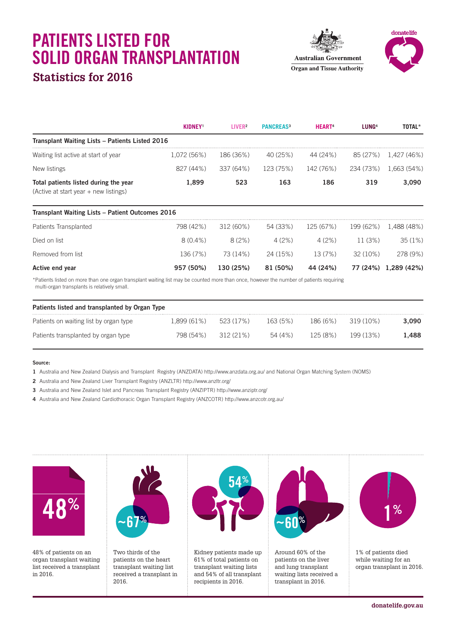# **PATIENTS LISTED FOR SOLID ORGAN TRANSPLANTATION**

### **Statistics for 2016**

**Australian Government Organ and Tissue Authority** 



|                                                                                                                                                                                         | <b>KIDNEY</b> <sup>1</sup> | LIVER <sup>2</sup> | <b>PANCREAS3</b> | <b>HEART<sup>4</sup></b> | LUNG <sup>4</sup> | TOTAL*               |
|-----------------------------------------------------------------------------------------------------------------------------------------------------------------------------------------|----------------------------|--------------------|------------------|--------------------------|-------------------|----------------------|
| <b>Transplant Waiting Lists - Patients Listed 2016</b>                                                                                                                                  |                            |                    |                  |                          |                   |                      |
| Waiting list active at start of year                                                                                                                                                    | 1,072 (56%)                | 186 (36%)          | 40 (25%)         | 44 (24%)                 | 85 (27%)          | 1,427 (46%)          |
| New listings                                                                                                                                                                            | 827 (44%)                  | 337 (64%)          | 123 (75%)        | 142 (76%)                | 234 (73%)         | 1,663 (54%)          |
| Total patients listed during the year<br>(Active at start year + new listings)                                                                                                          | 1,899                      | 523                | 163              | 186                      | 319               | 3,090                |
| <b>Transplant Waiting Lists - Patient Outcomes 2016</b>                                                                                                                                 |                            |                    |                  |                          |                   |                      |
| Patients Transplanted                                                                                                                                                                   | 798 (42%)                  | 312 (60%)          | 54 (33%)         | 125 (67%)                | 199 (62%)         | 1.488 (48%)          |
| Died on list                                                                                                                                                                            | $8(0.4\%)$                 | 8(2%)              | 4(2%)            | 4(2%)                    | 11(3%)            | 35(1%)               |
| Removed from list                                                                                                                                                                       | 136 (7%)                   | 73 (14%)           | 24 (15%)         | 13(7%)                   | 32 (10%)          | 278 (9%)             |
| Active end year                                                                                                                                                                         | 957 (50%)                  | 130 (25%)          | 81 (50%)         | 44 (24%)                 |                   | 77 (24%) 1,289 (42%) |
| *Patients listed on more than one organ transplant waiting list may be counted more than once, however the number of patients requiring<br>multi-organ transplants is relatively small. |                            |                    |                  |                          |                   |                      |

| Patients listed and transplanted by Organ Type |             |           |         |          |           |       |  |  |  |  |
|------------------------------------------------|-------------|-----------|---------|----------|-----------|-------|--|--|--|--|
| Patients on waiting list by organ type         | 1.899 (61%) | 523 (17%) | 163(5%) | 186 (6%) | 319 (10%) | 3.090 |  |  |  |  |
| Patients transplanted by organ type            | 798 (54%)   | 312(21%)  | 54 (4%) | 125(8%)  | 199 (13%) | 1.488 |  |  |  |  |

#### **Source:**

- **1** Australia and New Zealand Dialysis and Transplant Registry (ANZDATA) http://www.anzdata.org.au/ and National Organ Matching System (NOMS)
- **2** Australia and New Zealand Liver Transplant Registry (ANZLTR) http://www.anzltr.org/
- **3** Australia and New Zealand Islet and Pancreas Transplant Registry (ANZIPTR) http://www.anziptr.org/
- **4** Australia and New Zealand Cardiothoracic Organ Transplant Registry (ANZCOTR) http://www.anzcotr.org.au/